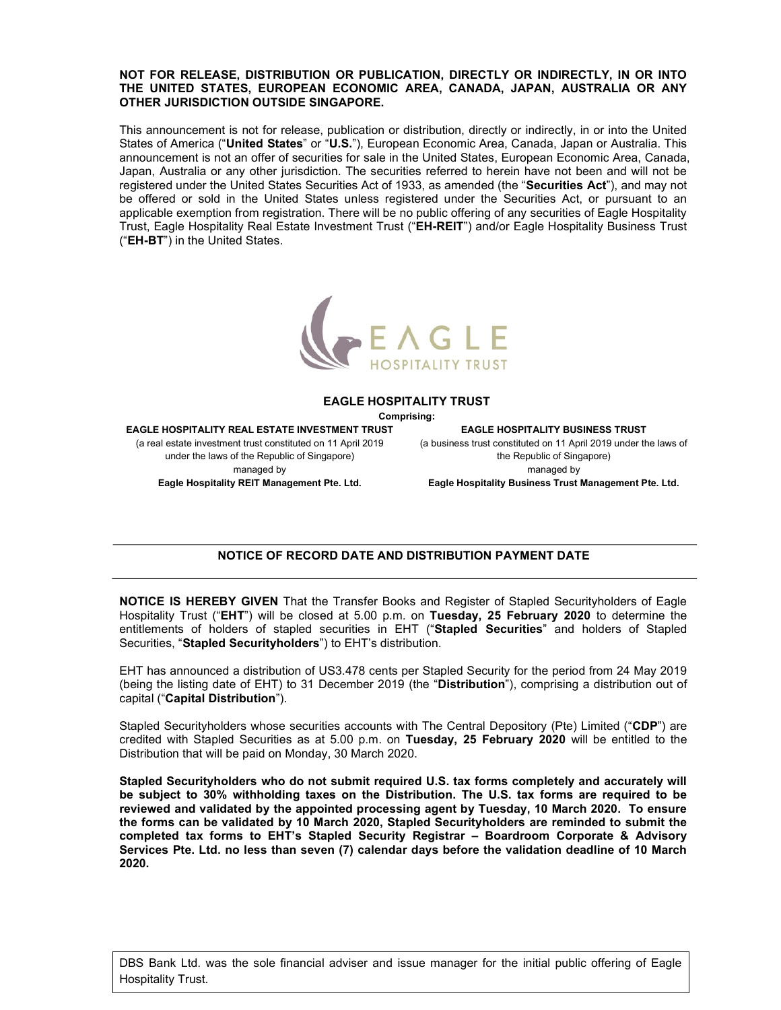### NOT FOR RELEASE, DISTRIBUTION OR PUBLICATION, DIRECTLY OR INDIRECTLY, IN OR INTO THE UNITED STATES, EUROPEAN ECONOMIC AREA, CANADA, JAPAN, AUSTRALIA OR ANY OTHER JURISDICTION OUTSIDE SINGAPORE.

This announcement is not for release, publication or distribution, directly or indirectly, in or into the United States of America ("United States" or "U.S."), European Economic Area, Canada, Japan or Australia. This announcement is not an offer of securities for sale in the United States, European Economic Area, Canada, Japan, Australia or any other jurisdiction. The securities referred to herein have not been and will not be registered under the United States Securities Act of 1933, as amended (the "Securities Act"), and may not be offered or sold in the United States unless registered under the Securities Act, or pursuant to an applicable exemption from registration. There will be no public offering of any securities of Eagle Hospitality Trust, Eagle Hospitality Real Estate Investment Trust ("EH-REIT") and/or Eagle Hospitality Business Trust ("EH-BT") in the United States.



#### EAGLE HOSPITALITY TRUST

Comprising:

EAGLE HOSPITALITY REAL ESTATE INVESTMENT TRUST (a real estate investment trust constituted on 11 April 2019 under the laws of the Republic of Singapore) managed by Eagle Hospitality REIT Management Pte. Ltd.

EAGLE HOSPITALITY BUSINESS TRUST (a business trust constituted on 11 April 2019 under the laws of the Republic of Singapore) managed by Eagle Hospitality Business Trust Management Pte. Ltd.

# NOTICE OF RECORD DATE AND DISTRIBUTION PAYMENT DATE

NOTICE IS HEREBY GIVEN That the Transfer Books and Register of Stapled Securityholders of Eagle Hospitality Trust ("EHT") will be closed at 5.00 p.m. on Tuesday, 25 February 2020 to determine the entitlements of holders of stapled securities in EHT ("Stapled Securities" and holders of Stapled Securities, "Stapled Securityholders") to EHT's distribution.

EHT has announced a distribution of US3.478 cents per Stapled Security for the period from 24 May 2019 (being the listing date of EHT) to 31 December 2019 (the "Distribution"), comprising a distribution out of capital ("Capital Distribution").

Stapled Securityholders whose securities accounts with The Central Depository (Pte) Limited ("CDP") are credited with Stapled Securities as at 5.00 p.m. on Tuesday, 25 February 2020 will be entitled to the Distribution that will be paid on Monday, 30 March 2020.

Stapled Securityholders who do not submit required U.S. tax forms completely and accurately will be subject to 30% withholding taxes on the Distribution. The U.S. tax forms are required to be reviewed and validated by the appointed processing agent by Tuesday, 10 March 2020. To ensure the forms can be validated by 10 March 2020, Stapled Securityholders are reminded to submit the completed tax forms to EHT's Stapled Security Registrar – Boardroom Corporate & Advisory Services Pte. Ltd. no less than seven (7) calendar days before the validation deadline of 10 March 2020.

DBS Bank Ltd. was the sole financial adviser and issue manager for the initial public offering of Eagle Hospitality Trust.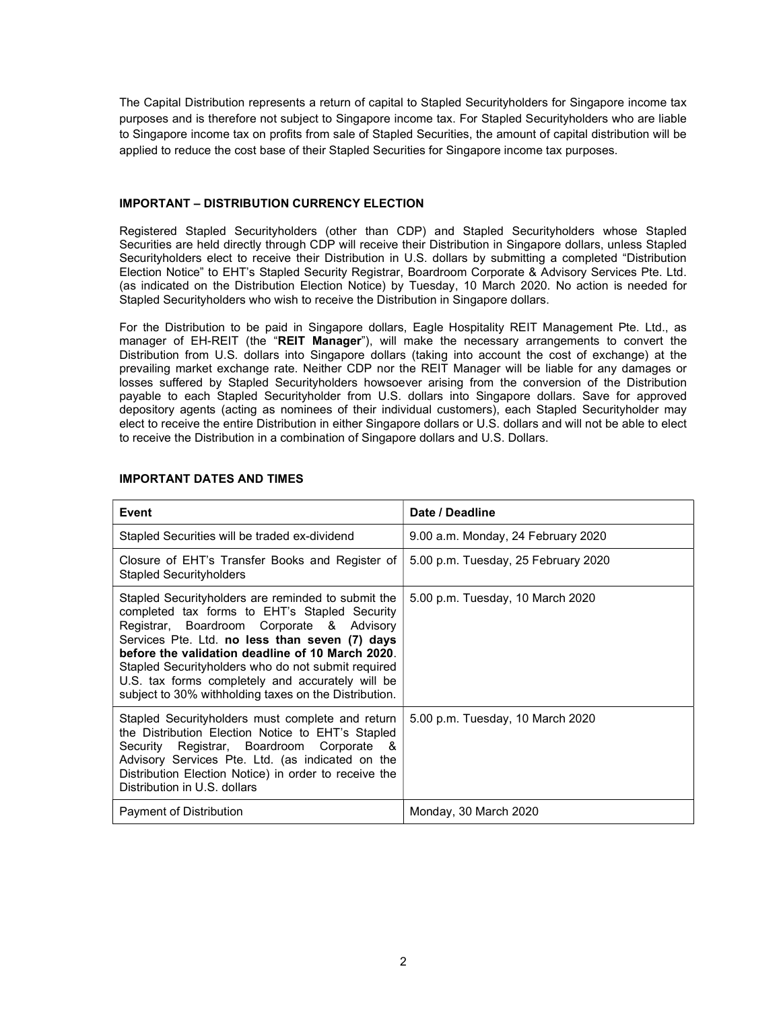The Capital Distribution represents a return of capital to Stapled Securityholders for Singapore income tax purposes and is therefore not subject to Singapore income tax. For Stapled Securityholders who are liable to Singapore income tax on profits from sale of Stapled Securities, the amount of capital distribution will be applied to reduce the cost base of their Stapled Securities for Singapore income tax purposes.

## IMPORTANT – DISTRIBUTION CURRENCY ELECTION

Registered Stapled Securityholders (other than CDP) and Stapled Securityholders whose Stapled Securities are held directly through CDP will receive their Distribution in Singapore dollars, unless Stapled Securityholders elect to receive their Distribution in U.S. dollars by submitting a completed "Distribution Election Notice" to EHT's Stapled Security Registrar, Boardroom Corporate & Advisory Services Pte. Ltd. (as indicated on the Distribution Election Notice) by Tuesday, 10 March 2020. No action is needed for Stapled Securityholders who wish to receive the Distribution in Singapore dollars.

For the Distribution to be paid in Singapore dollars, Eagle Hospitality REIT Management Pte. Ltd., as manager of EH-REIT (the "REIT Manager"), will make the necessary arrangements to convert the Distribution from U.S. dollars into Singapore dollars (taking into account the cost of exchange) at the prevailing market exchange rate. Neither CDP nor the REIT Manager will be liable for any damages or losses suffered by Stapled Securityholders howsoever arising from the conversion of the Distribution payable to each Stapled Securityholder from U.S. dollars into Singapore dollars. Save for approved depository agents (acting as nominees of their individual customers), each Stapled Securityholder may elect to receive the entire Distribution in either Singapore dollars or U.S. dollars and will not be able to elect to receive the Distribution in a combination of Singapore dollars and U.S. Dollars.

| Event                                                                                                                                                                                                                                                                                                                                                                                                                     | Date / Deadline                     |
|---------------------------------------------------------------------------------------------------------------------------------------------------------------------------------------------------------------------------------------------------------------------------------------------------------------------------------------------------------------------------------------------------------------------------|-------------------------------------|
| Stapled Securities will be traded ex-dividend                                                                                                                                                                                                                                                                                                                                                                             | 9.00 a.m. Monday, 24 February 2020  |
| Closure of EHT's Transfer Books and Register of<br><b>Stapled Securityholders</b>                                                                                                                                                                                                                                                                                                                                         | 5.00 p.m. Tuesday, 25 February 2020 |
| Stapled Securityholders are reminded to submit the<br>completed tax forms to EHT's Stapled Security<br>Registrar, Boardroom Corporate & Advisory<br>Services Pte. Ltd. no less than seven (7) days<br>before the validation deadline of 10 March 2020.<br>Stapled Securityholders who do not submit required<br>U.S. tax forms completely and accurately will be<br>subject to 30% withholding taxes on the Distribution. | 5.00 p.m. Tuesday, 10 March 2020    |
| Stapled Securityholders must complete and return<br>the Distribution Election Notice to EHT's Stapled<br>Security Registrar, Boardroom Corporate &<br>Advisory Services Pte. Ltd. (as indicated on the<br>Distribution Election Notice) in order to receive the<br>Distribution in U.S. dollars                                                                                                                           | 5.00 p.m. Tuesday, 10 March 2020    |
| Payment of Distribution                                                                                                                                                                                                                                                                                                                                                                                                   | Monday, 30 March 2020               |

### IMPORTANT DATES AND TIMES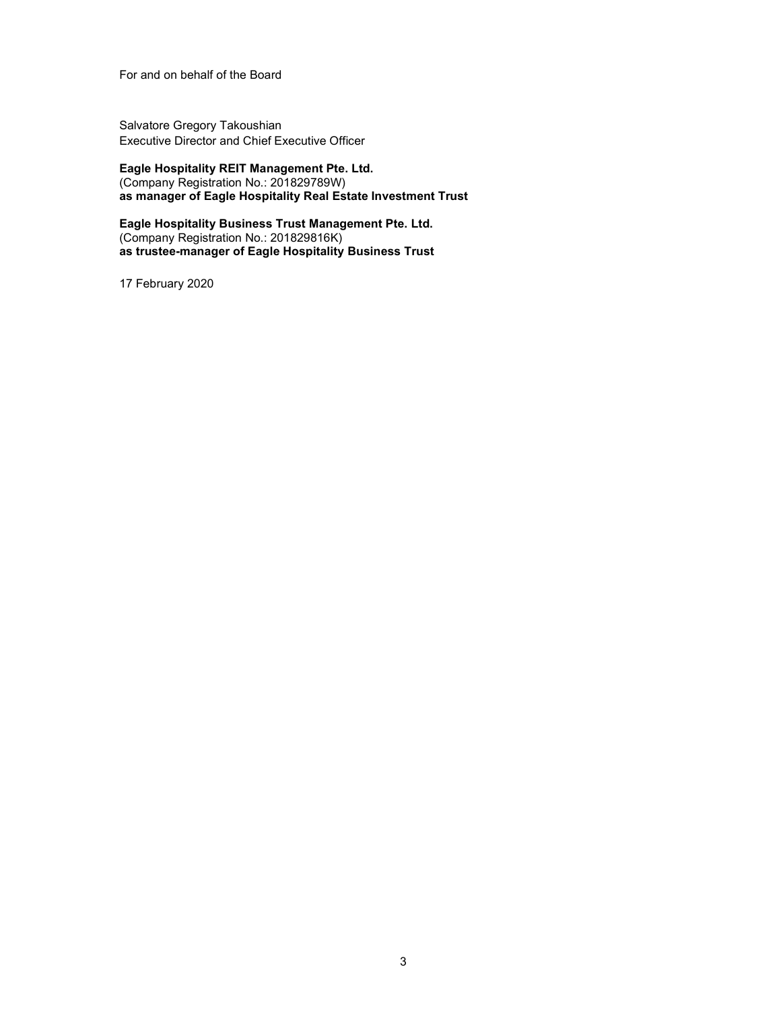For and on behalf of the Board

Salvatore Gregory Takoushian Executive Director and Chief Executive Officer

Eagle Hospitality REIT Management Pte. Ltd. (Company Registration No.: 201829789W) as manager of Eagle Hospitality Real Estate Investment Trust

Eagle Hospitality Business Trust Management Pte. Ltd. (Company Registration No.: 201829816K) as trustee-manager of Eagle Hospitality Business Trust

17 February 2020